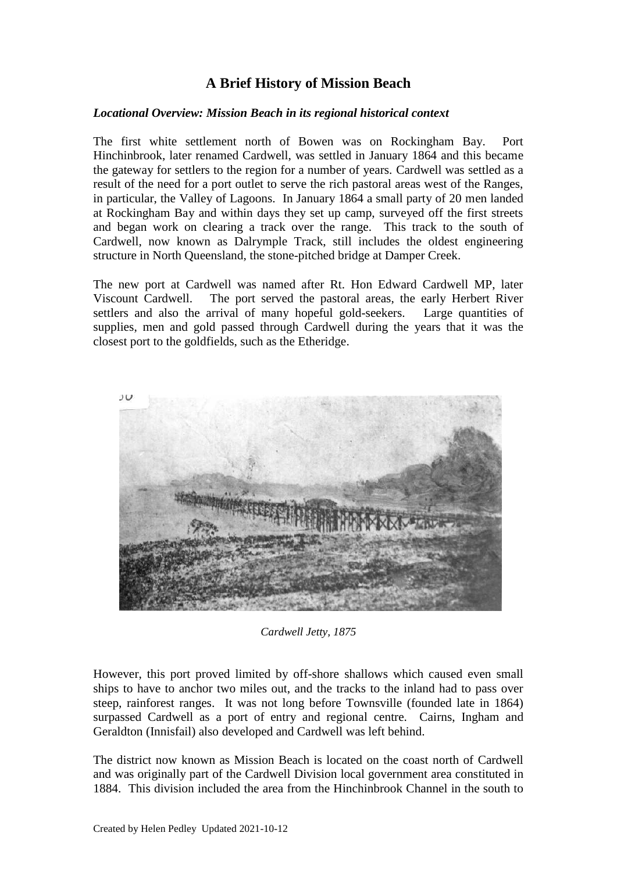# **A Brief History of Mission Beach**

#### *Locational Overview: Mission Beach in its regional historical context*

The first white settlement north of Bowen was on Rockingham Bay. Port Hinchinbrook, later renamed Cardwell, was settled in January 1864 and this became the gateway for settlers to the region for a number of years. Cardwell was settled as a result of the need for a port outlet to serve the rich pastoral areas west of the Ranges, in particular, the Valley of Lagoons. In January 1864 a small party of 20 men landed at Rockingham Bay and within days they set up camp, surveyed off the first streets and began work on clearing a track over the range. This track to the south of Cardwell, now known as Dalrymple Track, still includes the oldest engineering structure in North Queensland, the stone-pitched bridge at Damper Creek.

The new port at Cardwell was named after Rt. Hon Edward Cardwell MP, later Viscount Cardwell. The port served the pastoral areas, the early Herbert River settlers and also the arrival of many hopeful gold-seekers. Large quantities of supplies, men and gold passed through Cardwell during the years that it was the closest port to the goldfields, such as the Etheridge.



*Cardwell Jetty, 1875*

However, this port proved limited by off-shore shallows which caused even small ships to have to anchor two miles out, and the tracks to the inland had to pass over steep, rainforest ranges. It was not long before Townsville (founded late in 1864) surpassed Cardwell as a port of entry and regional centre. Cairns, Ingham and Geraldton (Innisfail) also developed and Cardwell was left behind.

The district now known as Mission Beach is located on the coast north of Cardwell and was originally part of the Cardwell Division local government area constituted in 1884. This division included the area from the Hinchinbrook Channel in the south to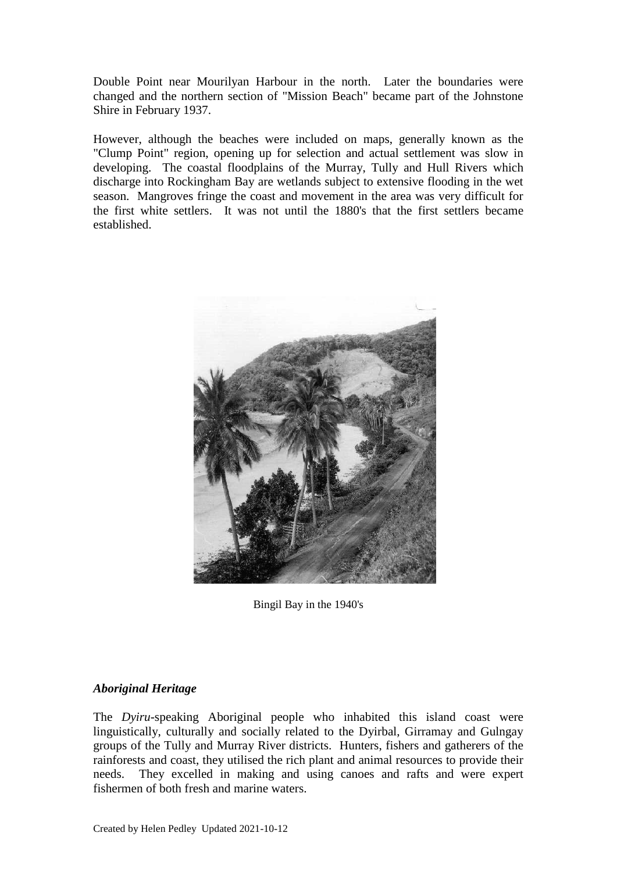Double Point near Mourilyan Harbour in the north. Later the boundaries were changed and the northern section of "Mission Beach" became part of the Johnstone Shire in February 1937.

However, although the beaches were included on maps, generally known as the "Clump Point" region, opening up for selection and actual settlement was slow in developing. The coastal floodplains of the Murray, Tully and Hull Rivers which discharge into Rockingham Bay are wetlands subject to extensive flooding in the wet season. Mangroves fringe the coast and movement in the area was very difficult for the first white settlers. It was not until the 1880's that the first settlers became established.



Bingil Bay in the 1940's

## *Aboriginal Heritage*

The *Dyiru*-speaking Aboriginal people who inhabited this island coast were linguistically, culturally and socially related to the Dyirbal, Girramay and Gulngay groups of the Tully and Murray River districts. Hunters, fishers and gatherers of the rainforests and coast, they utilised the rich plant and animal resources to provide their needs. They excelled in making and using canoes and rafts and were expert fishermen of both fresh and marine waters.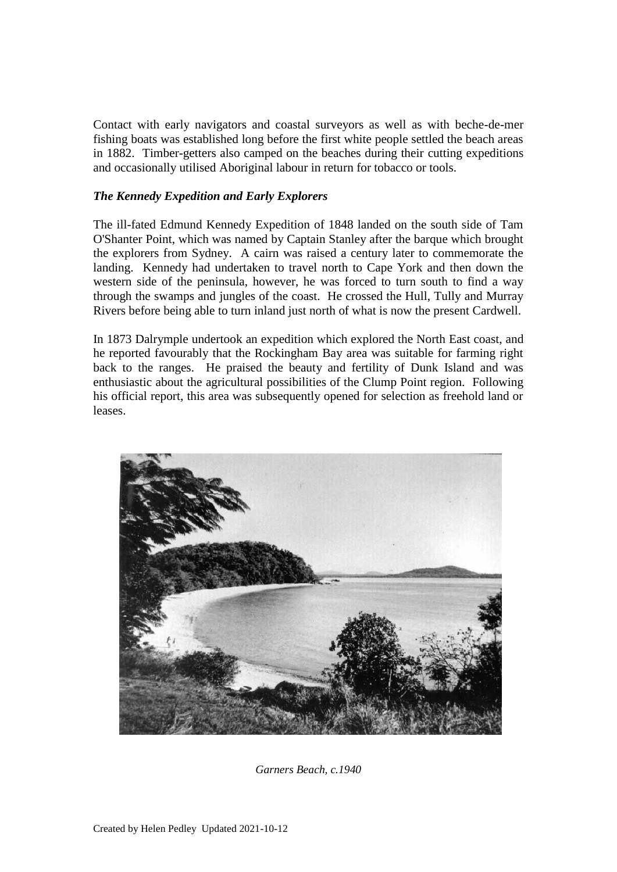Contact with early navigators and coastal surveyors as well as with beche-de-mer fishing boats was established long before the first white people settled the beach areas in 1882. Timber-getters also camped on the beaches during their cutting expeditions and occasionally utilised Aboriginal labour in return for tobacco or tools.

## *The Kennedy Expedition and Early Explorers*

The ill-fated Edmund Kennedy Expedition of 1848 landed on the south side of Tam O'Shanter Point, which was named by Captain Stanley after the barque which brought the explorers from Sydney. A cairn was raised a century later to commemorate the landing. Kennedy had undertaken to travel north to Cape York and then down the western side of the peninsula, however, he was forced to turn south to find a way through the swamps and jungles of the coast. He crossed the Hull, Tully and Murray Rivers before being able to turn inland just north of what is now the present Cardwell.

In 1873 Dalrymple undertook an expedition which explored the North East coast, and he reported favourably that the Rockingham Bay area was suitable for farming right back to the ranges. He praised the beauty and fertility of Dunk Island and was enthusiastic about the agricultural possibilities of the Clump Point region. Following his official report, this area was subsequently opened for selection as freehold land or leases.



*Garners Beach, c.1940*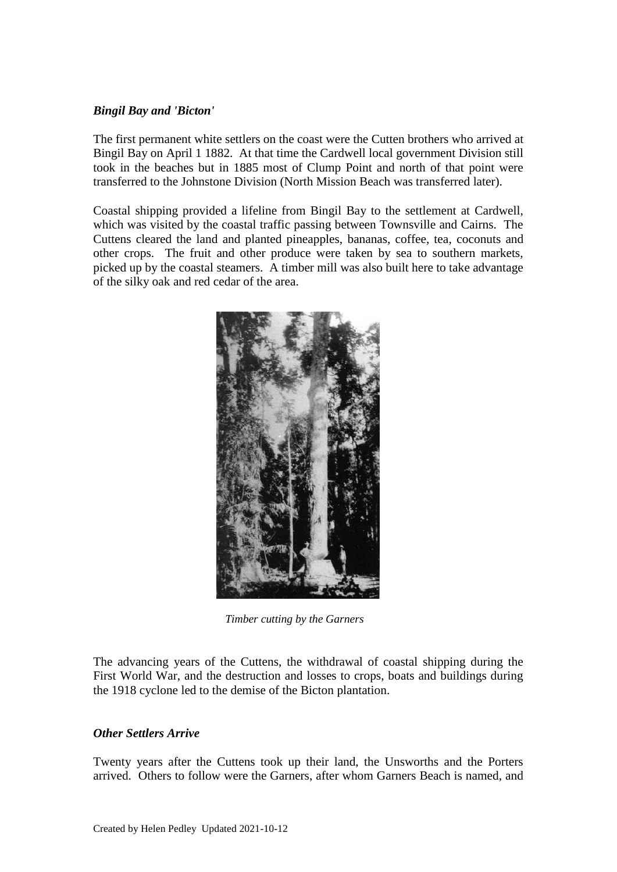### *Bingil Bay and 'Bicton'*

The first permanent white settlers on the coast were the Cutten brothers who arrived at Bingil Bay on April 1 1882. At that time the Cardwell local government Division still took in the beaches but in 1885 most of Clump Point and north of that point were transferred to the Johnstone Division (North Mission Beach was transferred later).

Coastal shipping provided a lifeline from Bingil Bay to the settlement at Cardwell, which was visited by the coastal traffic passing between Townsville and Cairns. The Cuttens cleared the land and planted pineapples, bananas, coffee, tea, coconuts and other crops. The fruit and other produce were taken by sea to southern markets, picked up by the coastal steamers. A timber mill was also built here to take advantage of the silky oak and red cedar of the area.



 *Timber cutting by the Garners*

The advancing years of the Cuttens, the withdrawal of coastal shipping during the First World War, and the destruction and losses to crops, boats and buildings during the 1918 cyclone led to the demise of the Bicton plantation.

### *Other Settlers Arrive*

Twenty years after the Cuttens took up their land, the Unsworths and the Porters arrived. Others to follow were the Garners, after whom Garners Beach is named, and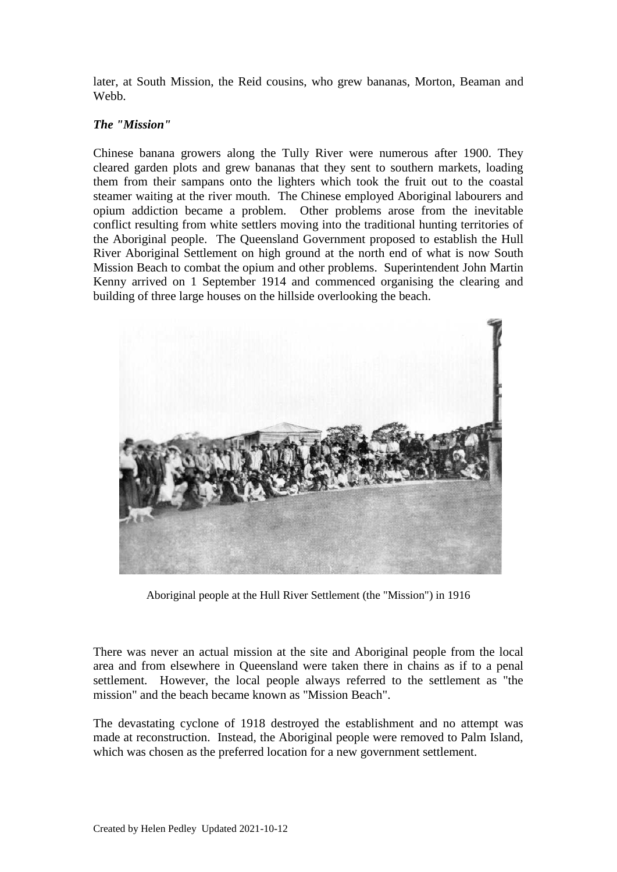later, at South Mission, the Reid cousins, who grew bananas, Morton, Beaman and Webb.

### *The "Mission"*

Chinese banana growers along the Tully River were numerous after 1900. They cleared garden plots and grew bananas that they sent to southern markets, loading them from their sampans onto the lighters which took the fruit out to the coastal steamer waiting at the river mouth. The Chinese employed Aboriginal labourers and opium addiction became a problem. Other problems arose from the inevitable conflict resulting from white settlers moving into the traditional hunting territories of the Aboriginal people. The Queensland Government proposed to establish the Hull River Aboriginal Settlement on high ground at the north end of what is now South Mission Beach to combat the opium and other problems. Superintendent John Martin Kenny arrived on 1 September 1914 and commenced organising the clearing and building of three large houses on the hillside overlooking the beach.



Aboriginal people at the Hull River Settlement (the "Mission") in 1916

There was never an actual mission at the site and Aboriginal people from the local area and from elsewhere in Queensland were taken there in chains as if to a penal settlement. However, the local people always referred to the settlement as "the mission" and the beach became known as "Mission Beach".

The devastating cyclone of 1918 destroyed the establishment and no attempt was made at reconstruction. Instead, the Aboriginal people were removed to Palm Island, which was chosen as the preferred location for a new government settlement.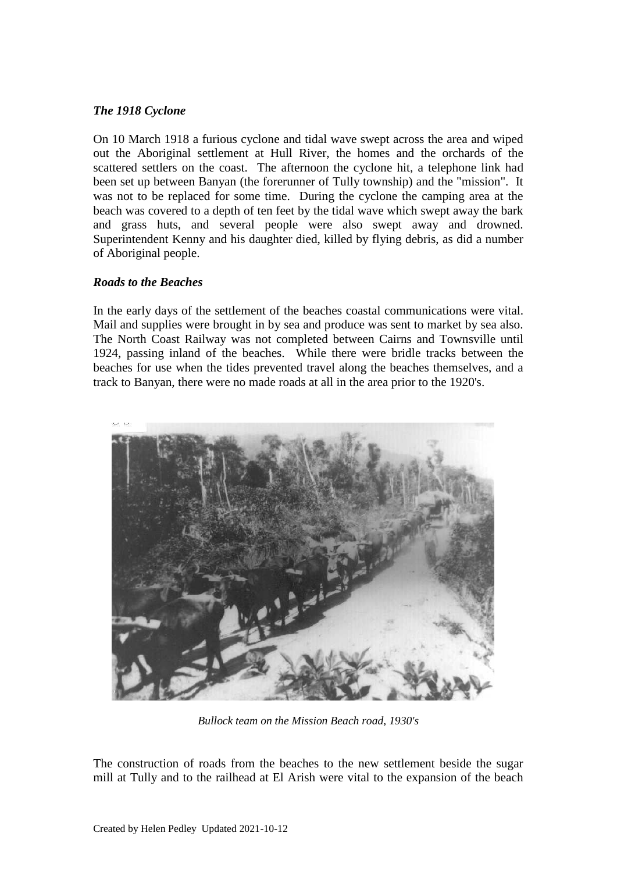### *The 1918 Cyclone*

On 10 March 1918 a furious cyclone and tidal wave swept across the area and wiped out the Aboriginal settlement at Hull River, the homes and the orchards of the scattered settlers on the coast. The afternoon the cyclone hit, a telephone link had been set up between Banyan (the forerunner of Tully township) and the "mission". It was not to be replaced for some time. During the cyclone the camping area at the beach was covered to a depth of ten feet by the tidal wave which swept away the bark and grass huts, and several people were also swept away and drowned. Superintendent Kenny and his daughter died, killed by flying debris, as did a number of Aboriginal people.

#### *Roads to the Beaches*

In the early days of the settlement of the beaches coastal communications were vital. Mail and supplies were brought in by sea and produce was sent to market by sea also. The North Coast Railway was not completed between Cairns and Townsville until 1924, passing inland of the beaches. While there were bridle tracks between the beaches for use when the tides prevented travel along the beaches themselves, and a track to Banyan, there were no made roads at all in the area prior to the 1920's.



*Bullock team on the Mission Beach road, 1930's*

The construction of roads from the beaches to the new settlement beside the sugar mill at Tully and to the railhead at El Arish were vital to the expansion of the beach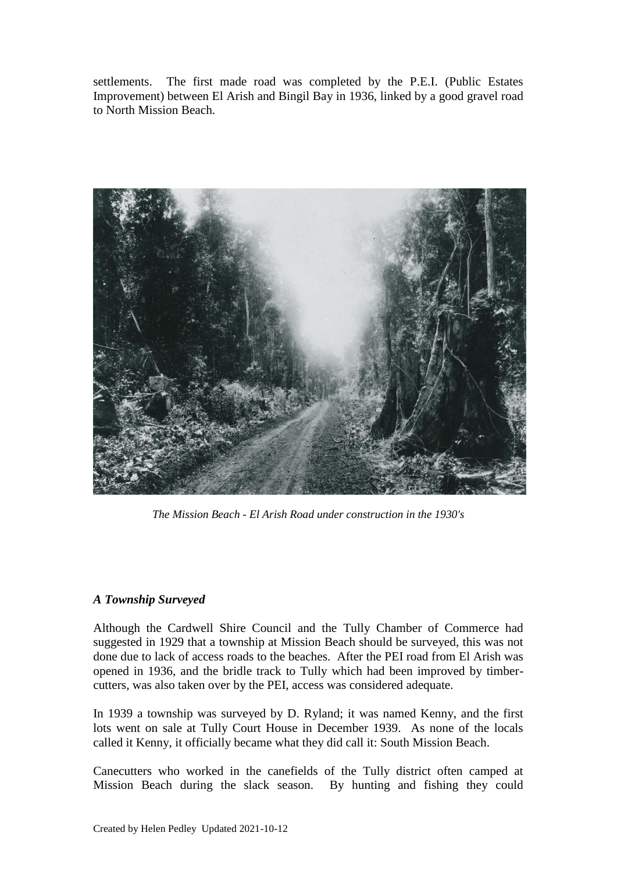settlements. The first made road was completed by the P.E.I. (Public Estates Improvement) between El Arish and Bingil Bay in 1936, linked by a good gravel road to North Mission Beach.



*The Mission Beach - El Arish Road under construction in the 1930's*

## *A Township Surveyed*

Although the Cardwell Shire Council and the Tully Chamber of Commerce had suggested in 1929 that a township at Mission Beach should be surveyed, this was not done due to lack of access roads to the beaches. After the PEI road from El Arish was opened in 1936, and the bridle track to Tully which had been improved by timbercutters, was also taken over by the PEI, access was considered adequate.

In 1939 a township was surveyed by D. Ryland; it was named Kenny, and the first lots went on sale at Tully Court House in December 1939. As none of the locals called it Kenny, it officially became what they did call it: South Mission Beach.

Canecutters who worked in the canefields of the Tully district often camped at Mission Beach during the slack season. By hunting and fishing they could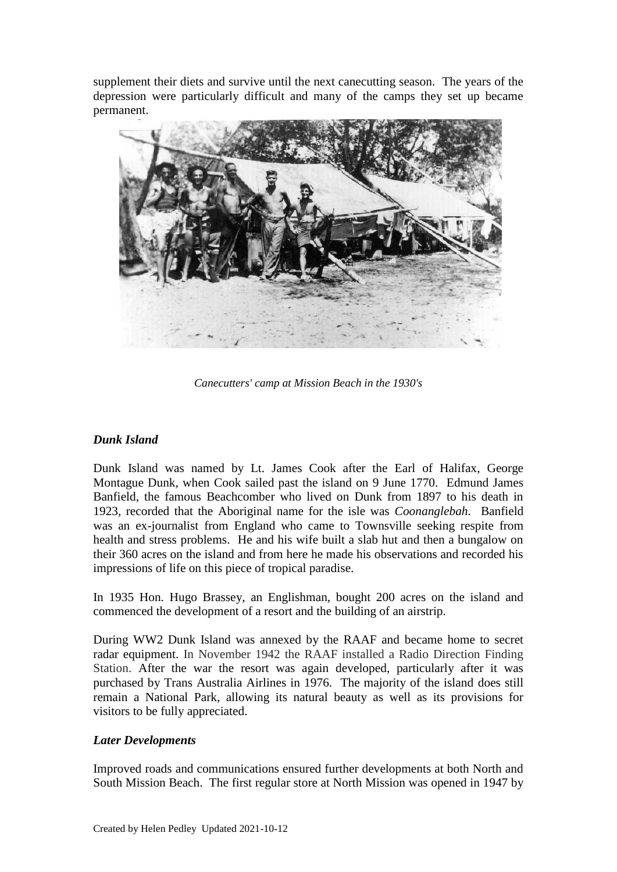supplement their diets and survive until the next canecutting season. The years of the depression were particularly difficult and many of the camps they set up became permanent.



*Canecutters' camp at Mission Beach in the 1930's*

## *Dunk Island*

Dunk Island was named by Lt. James Cook after the Earl of Halifax, George Montague Dunk, when Cook sailed past the island on 9 June 1770. Edmund James Banfield, the famous Beachcomber who lived on Dunk from 1897 to his death in 1923, recorded that the Aboriginal name for the isle was *Coonanglebah.* Banfield was an ex-journalist from England who came to Townsville seeking respite from health and stress problems. He and his wife built a slab hut and then a bungalow on their 360 acres on the island and from here he made his observations and recorded his impressions of life on this piece of tropical paradise.

In 1935 Hon. Hugo Brassey, an Englishman, bought 200 acres on the island and commenced the development of a resort and the building of an airstrip.

During WW2 Dunk Island was annexed by the RAAF and became home to secret radar equipment. In November 1942 the RAAF installed a Radio Direction Finding Station. After the war the resort was again developed, particularly after it was purchased by Trans Australia Airlines in 1976. The majority of the island does still remain a National Park, allowing its natural beauty as well as its provisions for visitors to be fully appreciated.

## *Later Developments*

Improved roads and communications ensured further developments at both North and South Mission Beach. The first regular store at North Mission was opened in 1947 by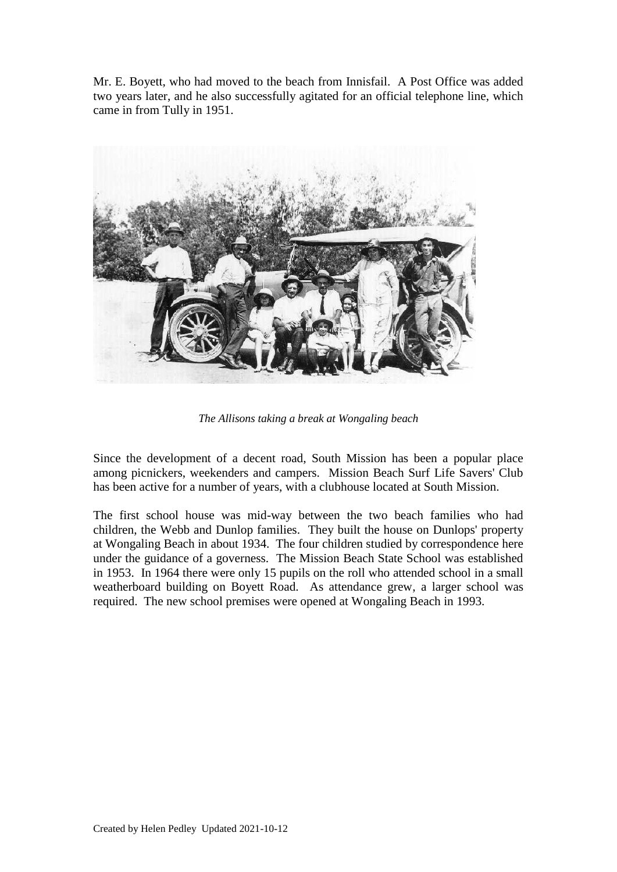Mr. E. Boyett, who had moved to the beach from Innisfail. A Post Office was added two years later, and he also successfully agitated for an official telephone line, which came in from Tully in 1951.



*The Allisons taking a break at Wongaling beach*

Since the development of a decent road, South Mission has been a popular place among picnickers, weekenders and campers. Mission Beach Surf Life Savers' Club has been active for a number of years, with a clubhouse located at South Mission.

The first school house was mid-way between the two beach families who had children, the Webb and Dunlop families. They built the house on Dunlops' property at Wongaling Beach in about 1934. The four children studied by correspondence here under the guidance of a governess. The Mission Beach State School was established in 1953. In 1964 there were only 15 pupils on the roll who attended school in a small weatherboard building on Boyett Road. As attendance grew, a larger school was required. The new school premises were opened at Wongaling Beach in 1993.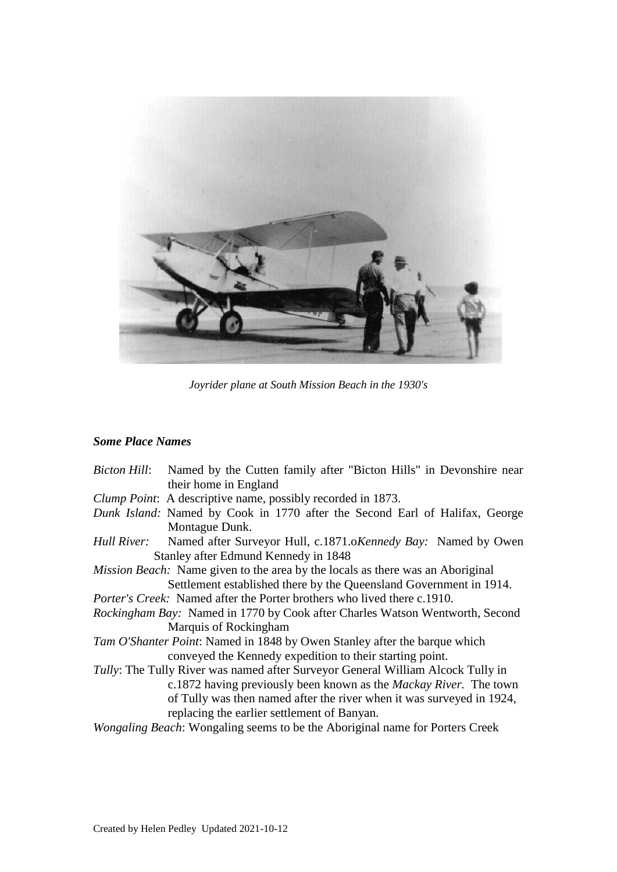

*Joyrider plane at South Mission Beach in the 1930's*

# *Some Place Names*

|                                                                                        | <i>Bicton Hill:</i> Named by the Cutten family after "Bicton Hills" in Devonshire near   |
|----------------------------------------------------------------------------------------|------------------------------------------------------------------------------------------|
|                                                                                        | their home in England                                                                    |
|                                                                                        | Clump Point: A descriptive name, possibly recorded in 1873.                              |
|                                                                                        | Dunk Island: Named by Cook in 1770 after the Second Earl of Halifax, George              |
|                                                                                        | Montague Dunk.                                                                           |
|                                                                                        | <i>Hull River:</i> Named after Surveyor Hull, c.1871.o <i>Kennedy Bay:</i> Named by Owen |
|                                                                                        | Stanley after Edmund Kennedy in 1848                                                     |
|                                                                                        | <i>Mission Beach:</i> Name given to the area by the locals as there was an Aboriginal    |
|                                                                                        | Settlement established there by the Queensland Government in 1914.                       |
| <i>Porter's Creek:</i> Named after the Porter brothers who lived there c.1910.         |                                                                                          |
|                                                                                        | <i>Rockingham Bay:</i> Named in 1770 by Cook after Charles Watson Wentworth, Second      |
|                                                                                        | Marquis of Rockingham                                                                    |
|                                                                                        | <i>Tam O'Shanter Point:</i> Named in 1848 by Owen Stanley after the barque which         |
|                                                                                        | conveyed the Kennedy expedition to their starting point.                                 |
| <i>Tully:</i> The Tully River was named after Surveyor General William Alcock Tully in |                                                                                          |
|                                                                                        | c.1872 having previously been known as the <i>Mackay River</i> . The town                |
|                                                                                        | of Tully was then named after the river when it was surveyed in 1924,                    |
|                                                                                        | replacing the earlier settlement of Banyan.                                              |
| <i>Wongaling Beach:</i> Wongaling seems to be the Aboriginal name for Porters Creek    |                                                                                          |